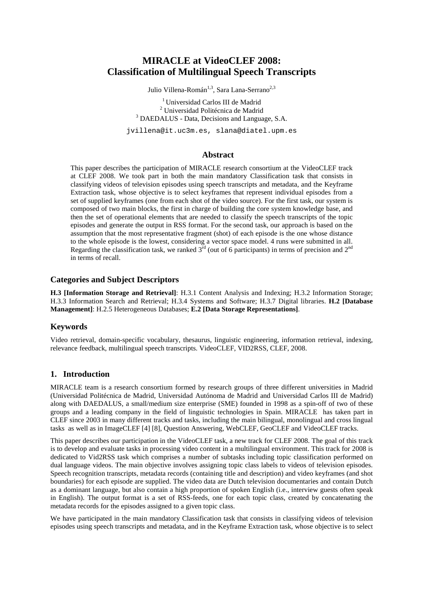# **MIRACLE at VideoCLEF 2008: Classification of Multilingual Speech Transcripts**

Julio Villena-Román<sup>1,3</sup>, Sara Lana-Serrano<sup>2,3</sup>

<sup>1</sup>Universidad Carlos III de Madrid <sup>2</sup> Universidad Politécnica de Madrid <sup>3</sup> DAEDALUS - Data, Decisions and Language, S.A.

jvillena@it.uc3m.es, slana@diatel.upm.es

#### **Abstract**

This paper describes the participation of MIRACLE research consortium at the VideoCLEF track at CLEF 2008. We took part in both the main mandatory Classification task that consists in classifying videos of television episodes using speech transcripts and metadata, and the Keyframe Extraction task, whose objective is to select keyframes that represent individual episodes from a set of supplied keyframes (one from each shot of the video source). For the first task, our system is composed of two main blocks, the first in charge of building the core system knowledge base, and then the set of operational elements that are needed to classify the speech transcripts of the topic episodes and generate the output in RSS format. For the second task, our approach is based on the assumption that the most representative fragment (shot) of each episode is the one whose distance to the whole episode is the lowest, considering a vector space model. 4 runs were submitted in all. Regarding the classification task, we ranked  $3^{\text{rd}}$  (out of 6 participants) in terms of precision and  $2^{\text{nd}}$ in terms of recall.

#### **Categories and Subject Descriptors**

**H.3 [Information Storage and Retrieval]**: H.3.1 Content Analysis and Indexing; H.3.2 Information Storage; H.3.3 Information Search and Retrieval; H.3.4 Systems and Software; H.3.7 Digital libraries. **H.2 [Database Management]**: H.2.5 Heterogeneous Databases; **E.2 [Data Storage Representations]**.

### **Keywords**

Video retrieval, domain-specific vocabulary, thesaurus, linguistic engineering, information retrieval, indexing, relevance feedback, multilingual speech transcripts. VideoCLEF, VID2RSS, CLEF, 2008.

#### **1. Introduction**

MIRACLE team is a research consortium formed by research groups of three different universities in Madrid (Universidad Politécnica de Madrid, Universidad Autónoma de Madrid and Universidad Carlos III de Madrid) along with DAEDALUS, a small/medium size enterprise (SME) founded in 1998 as a spin-off of two of these groups and a leading company in the field of linguistic technologies in Spain. MIRACLE has taken part in CLEF since 2003 in many different tracks and tasks, including the main bilingual, monolingual and cross lingual tasks as well as in ImageCLEF [4] [8], Question Answering, WebCLEF, GeoCLEF and VideoCLEF tracks.

This paper describes our participation in the VideoCLEF task, a new track for CLEF 2008. The goal of this track is to develop and evaluate tasks in processing video content in a multilingual environment. This track for 2008 is dedicated to Vid2RSS task which comprises a number of subtasks including topic classification performed on dual language videos. The main objective involves assigning topic class labels to videos of television episodes. Speech recognition transcripts, metadata records (containing title and description) and video keyframes (and shot boundaries) for each episode are supplied. The video data are Dutch television documentaries and contain Dutch as a dominant language, but also contain a high proportion of spoken English (i.e., interview guests often speak in English). The output format is a set of RSS-feeds, one for each topic class, created by concatenating the metadata records for the episodes assigned to a given topic class.

We have participated in the main mandatory Classification task that consists in classifying videos of television episodes using speech transcripts and metadata, and in the Keyframe Extraction task, whose objective is to select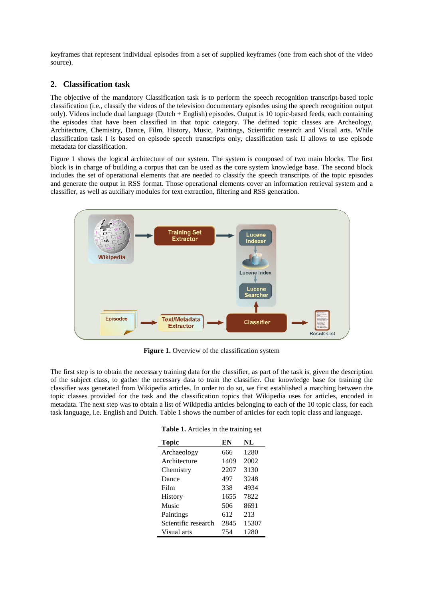keyframes that represent individual episodes from a set of supplied keyframes (one from each shot of the video source).

#### **2. Classification task**

The objective of the mandatory Classification task is to perform the speech recognition transcript-based topic classification (i.e., classify the videos of the television documentary episodes using the speech recognition output only). Videos include dual language (Dutch + English) episodes. Output is 10 topic-based feeds, each containing the episodes that have been classified in that topic category. The defined topic classes are Archeology, Architecture, Chemistry, Dance, Film, History, Music, Paintings, Scientific research and Visual arts. While classification task I is based on episode speech transcripts only, classification task II allows to use episode metadata for classification.

Figure 1 shows the logical architecture of our system. The system is composed of two main blocks. The first block is in charge of building a corpus that can be used as the core system knowledge base. The second block includes the set of operational elements that are needed to classify the speech transcripts of the topic episodes and generate the output in RSS format. Those operational elements cover an information retrieval system and a classifier, as well as auxiliary modules for text extraction, filtering and RSS generation.



**Figure 1.** Overview of the classification system

The first step is to obtain the necessary training data for the classifier, as part of the task is, given the description of the subject class, to gather the necessary data to train the classifier. Our knowledge base for training the classifier was generated from Wikipedia articles. In order to do so, we first established a matching between the topic classes provided for the task and the classification topics that Wikipedia uses for articles, encoded in metadata. The next step was to obtain a list of Wikipedia articles belonging to each of the 10 topic class, for each task language, i.e. English and Dutch. Table 1 shows the number of articles for each topic class and language.

| <b>Topic</b>        | EN   | NL    |
|---------------------|------|-------|
| Archaeology         | 666  | 1280  |
| Architecture        | 1409 | 2002  |
| Chemistry           | 2207 | 3130  |
| Dance               | 497  | 3248  |
| Film                | 338  | 4934  |
| History             | 1655 | 7822  |
| Music               | 506  | 8691  |
| Paintings           | 612  | 213   |
| Scientific research | 2845 | 15307 |
| Visual arts         | 754  | 1280  |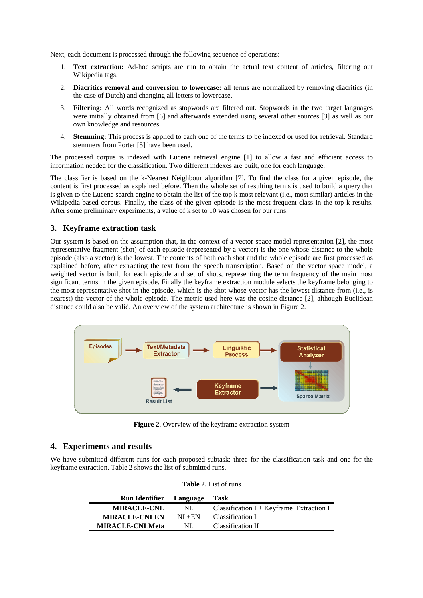Next, each document is processed through the following sequence of operations:

- 1. **Text extraction:** Ad-hoc scripts are run to obtain the actual text content of articles, filtering out Wikipedia tags.
- 2. **Diacritics removal and conversion to lowercase:** all terms are normalized by removing diacritics (in the case of Dutch) and changing all letters to lowercase.
- 3. **Filtering:** All words recognized as stopwords are filtered out. Stopwords in the two target languages were initially obtained from [6] and afterwards extended using several other sources [3] as well as our own knowledge and resources.
- 4. **Stemming:** This process is applied to each one of the terms to be indexed or used for retrieval. Standard stemmers from Porter [5] have been used.

The processed corpus is indexed with Lucene retrieval engine [1] to allow a fast and efficient access to information needed for the classification. Two different indexes are built, one for each language.

The classifier is based on the k-Nearest Neighbour algorithm [7]. To find the class for a given episode, the content is first processed as explained before. Then the whole set of resulting terms is used to build a query that is given to the Lucene search engine to obtain the list of the top k most relevant (i.e., most similar) articles in the Wikipedia-based corpus. Finally, the class of the given episode is the most frequent class in the top k results. After some preliminary experiments, a value of k set to 10 was chosen for our runs.

## **3. Keyframe extraction task**

Our system is based on the assumption that, in the context of a vector space model representation [2], the most representative fragment (shot) of each episode (represented by a vector) is the one whose distance to the whole episode (also a vector) is the lowest. The contents of both each shot and the whole episode are first processed as explained before, after extracting the text from the speech transcription. Based on the vector space model, a weighted vector is built for each episode and set of shots, representing the term frequency of the main most significant terms in the given episode. Finally the keyframe extraction module selects the keyframe belonging to the most representative shot in the episode, which is the shot whose vector has the lowest distance from (i.e., is nearest) the vector of the whole episode. The metric used here was the cosine distance [2], although Euclidean distance could also be valid. An overview of the system architecture is shown in Figure 2.



**Figure 2**. Overview of the keyframe extraction system

### **4. Experiments and results**

We have submitted different runs for each proposed subtask: three for the classification task and one for the keyframe extraction. Table 2 shows the list of submitted runs.

| <b>Table 2.</b> List of runs |  |  |  |
|------------------------------|--|--|--|
|------------------------------|--|--|--|

| <b>Run Identifier</b> Language |           | Task                                                  |
|--------------------------------|-----------|-------------------------------------------------------|
| <b>MIRACLE-CNL</b>             | NL.       | Classification $I + Keyframe_{\text{r}}$ Extraction I |
| <b>MIRACLE-CNLEN</b>           | $NI + EN$ | Classification I                                      |
| <b>MIRACLE-CNLMeta</b>         | NL.       | Classification II                                     |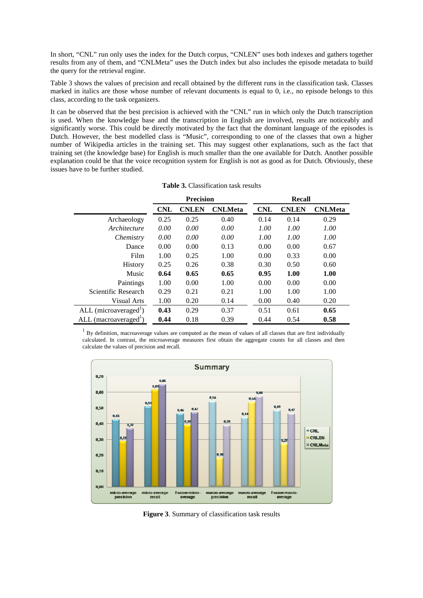In short, "CNL" run only uses the index for the Dutch corpus, "CNLEN" uses both indexes and gathers together results from any of them, and "CNLMeta" uses the Dutch index but also includes the episode metadata to build the query for the retrieval engine.

Table 3 shows the values of precision and recall obtained by the different runs in the classification task. Classes marked in italics are those whose number of relevant documents is equal to 0, i.e., no episode belongs to this class, according to the task organizers.

It can be observed that the best precision is achieved with the "CNL" run in which only the Dutch transcription is used. When the knowledge base and the transcription in English are involved, results are noticeably and significantly worse. This could be directly motivated by the fact that the dominant language of the episodes is Dutch. However, the best modelled class is "Music", corresponding to one of the classes that own a higher number of Wikipedia articles in the training set. This may suggest other explanations, such as the fact that training set (the knowledge base) for English is much smaller than the one available for Dutch. Another possible explanation could be that the voice recognition system for English is not as good as for Dutch. Obviously, these issues have to be further studied.

|                                   | <b>Precision</b> |              |                | Recall     |              |                |
|-----------------------------------|------------------|--------------|----------------|------------|--------------|----------------|
|                                   | <b>CNL</b>       | <b>CNLEN</b> | <b>CNLMeta</b> | <b>CNL</b> | <b>CNLEN</b> | <b>CNLMeta</b> |
| Archaeology                       | 0.25             | 0.25         | 0.40           | 0.14       | 0.14         | 0.29           |
| Architecture                      | 0.00             | 0.00         | 0.00           | 1.00       | 1.00         | 1.00           |
| Chemistry                         | 0.00             | 0.00         | 0.00           | 1.00       | 1.00         | 1.00           |
| Dance                             | 0.00             | 0.00         | 0.13           | 0.00       | 0.00         | 0.67           |
| Film                              | 1.00             | 0.25         | 1.00           | 0.00       | 0.33         | 0.00           |
| <b>History</b>                    | 0.25             | 0.26         | 0.38           | 0.30       | 0.50         | 0.60           |
| Music                             | 0.64             | 0.65         | 0.65           | 0.95       | 1.00         | 1.00           |
| Paintings                         | 1.00             | 0.00         | 1.00           | 0.00       | 0.00         | 0.00           |
| Scientific Research               | 0.29             | 0.21         | 0.21           | 1.00       | 1.00         | 1.00           |
| Visual Arts                       | 1.00             | 0.20         | 0.14           | 0.00       | 0.40         | 0.20           |
| ALL (microaveraged <sup>1</sup> ) | 0.43             | 0.29         | 0.37           | 0.51       | 0.61         | 0.65           |
| ALL (macroaveraged <sup>1</sup> ) | 0.44             | 0.18         | 0.39           | 0.44       | 0.54         | 0.58           |

|  | <b>Table 3.</b> Classification task results |  |
|--|---------------------------------------------|--|
|--|---------------------------------------------|--|

 $<sup>1</sup>$  By definition, macroaverage values are computed as the mean of values of all classes that are first individually</sup> calculated. In contrast, the microaverage measures first obtain the aggregate counts for all classes and then calculate the values of precision and recall.



**Figure 3**. Summary of classification task results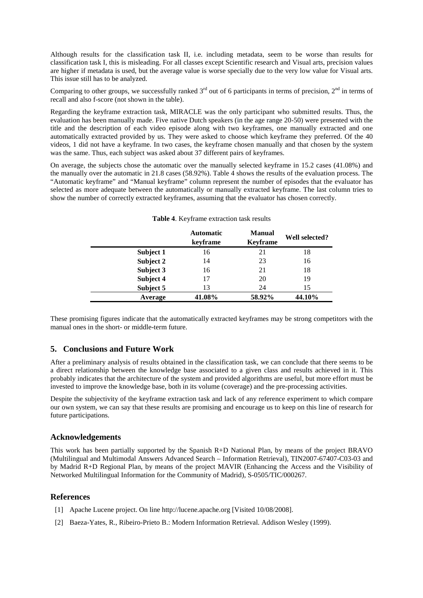Although results for the classification task II, i.e. including metadata, seem to be worse than results for classification task I, this is misleading. For all classes except Scientific research and Visual arts, precision values are higher if metadata is used, but the average value is worse specially due to the very low value for Visual arts. This issue still has to be analyzed.

Comparing to other groups, we successfully ranked  $3<sup>rd</sup>$  out of 6 participants in terms of precision,  $2<sup>nd</sup>$  in terms of recall and also f-score (not shown in the table).

Regarding the keyframe extraction task, MIRACLE was the only participant who submitted results. Thus, the evaluation has been manually made. Five native Dutch speakers (in the age range 20-50) were presented with the title and the description of each video episode along with two keyframes, one manually extracted and one automatically extracted provided by us. They were asked to choose which keyframe they preferred. Of the 40 videos, 1 did not have a keyframe. In two cases, the keyframe chosen manually and that chosen by the system was the same. Thus, each subject was asked about 37 different pairs of keyframes.

On average, the subjects chose the automatic over the manually selected keyframe in 15.2 cases (41.08%) and the manually over the automatic in 21.8 cases (58.92%). Table 4 shows the results of the evaluation process. The "Automatic keyframe" and "Manual keyframe" column represent the number of episodes that the evaluator has selected as more adequate between the automatically or manually extracted keyframe. The last column tries to show the number of correctly extracted keyframes, assuming that the evaluator has chosen correctly.

|           | <b>Automatic</b><br>keyframe | <b>Manual</b><br><b>Keyframe</b> | Well selected? |
|-----------|------------------------------|----------------------------------|----------------|
| Subject 1 | 16                           | 21                               | 18             |
| Subject 2 | 14                           | 23                               | 16             |
| Subject 3 | 16                           | 21                               | 18             |
| Subject 4 | 17                           | 20                               | 19             |
| Subject 5 | 13                           | 24                               | 15             |
| Average   | 41.08%                       | 58.92%                           | 44.10%         |

#### **Table 4**. Keyframe extraction task results

These promising figures indicate that the automatically extracted keyframes may be strong competitors with the manual ones in the short- or middle-term future.

### **5. Conclusions and Future Work**

After a preliminary analysis of results obtained in the classification task, we can conclude that there seems to be a direct relationship between the knowledge base associated to a given class and results achieved in it. This probably indicates that the architecture of the system and provided algorithms are useful, but more effort must be invested to improve the knowledge base, both in its volume (coverage) and the pre-processing activities.

Despite the subjectivity of the keyframe extraction task and lack of any reference experiment to which compare our own system, we can say that these results are promising and encourage us to keep on this line of research for future participations.

### **Acknowledgements**

This work has been partially supported by the Spanish R+D National Plan, by means of the project BRAVO (Multilingual and Multimodal Answers Advanced Search – Information Retrieval), TIN2007-67407-C03-03 and by Madrid R+D Regional Plan, by means of the project MAVIR (Enhancing the Access and the Visibility of Networked Multilingual Information for the Community of Madrid), S-0505/TIC/000267.

### **References**

- [1] Apache Lucene project. On line http://lucene.apache.org [Visited 10/08/2008].
- [2] Baeza-Yates, R., Ribeiro-Prieto B.: Modern Information Retrieval. Addison Wesley (1999).